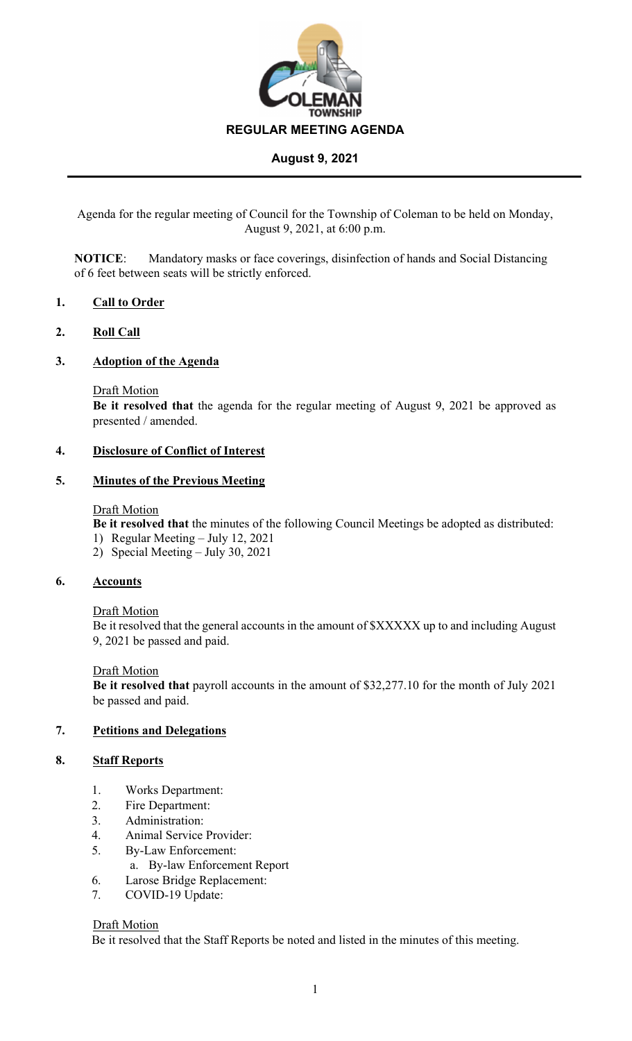

Agenda for the regular meeting of Council for the Township of Coleman to be held on Monday, August 9, 2021, at 6:00 p.m.

**NOTICE**: Mandatory masks or face coverings, disinfection of hands and Social Distancing of 6 feet between seats will be strictly enforced.

## **1. Call to Order**

## **2. Roll Call**

## **3. Adoption of the Agenda**

Draft Motion

**Be it resolved that** the agenda for the regular meeting of August 9, 2021 be approved as presented / amended.

#### **4. Disclosure of Conflict of Interest**

#### **5. Minutes of the Previous Meeting**

#### Draft Motion

**Be it resolved that** the minutes of the following Council Meetings be adopted as distributed:

- 1) Regular Meeting July 12, 2021
- 2) Special Meeting July 30, 2021

## **6. Accounts**

Draft Motion

Be it resolved that the general accounts in the amount of \$XXXXX up to and including August 9, 2021 be passed and paid.

#### Draft Motion

**Be it resolved that** payroll accounts in the amount of \$32,277.10 for the month of July 2021 be passed and paid.

#### **7. Petitions and Delegations**

## **8. Staff Reports**

- 1. Works Department:
- 2. Fire Department:
- 3. Administration:
- 4. Animal Service Provider:
- 5. By-Law Enforcement:
- a. By-law Enforcement Report
- 6. Larose Bridge Replacement:
- 7. COVID-19 Update:

#### Draft Motion

Be it resolved that the Staff Reports be noted and listed in the minutes of this meeting.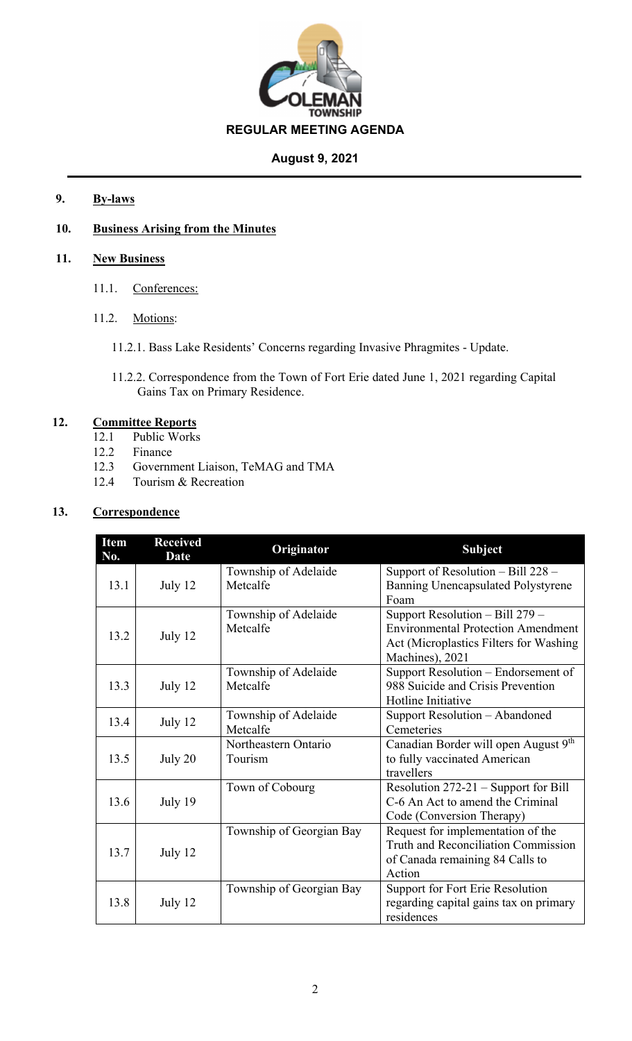

# **9. By-laws**

# **10. Business Arising from the Minutes**

# **11. New Business**

- 11.1. Conferences:
- 11.2. Motions:
	- 11.2.1. Bass Lake Residents' Concerns regarding Invasive Phragmites Update.
	- 11.2.2. Correspondence from the Town of Fort Erie dated June 1, 2021 regarding Capital Gains Tax on Primary Residence.

# **12. Committee Reports**

- 12.1 Public Works
- 12.2 Finance
- 12.3 Government Liaison, TeMAG and TMA
- 12.4 Tourism & Recreation

# **13. Correspondence**

| <b>Item</b><br>No. | <b>Received</b><br><b>Date</b> | <b>Originator</b>                | <b>Subject</b>                                                                                                                                |
|--------------------|--------------------------------|----------------------------------|-----------------------------------------------------------------------------------------------------------------------------------------------|
| 13.1               | July 12                        | Township of Adelaide<br>Metcalfe | Support of Resolution $-$ Bill 228 $-$<br>Banning Unencapsulated Polystyrene<br>Foam                                                          |
| 13.2               | July 12                        | Township of Adelaide<br>Metcalfe | Support Resolution $-$ Bill 279 $-$<br><b>Environmental Protection Amendment</b><br>Act (Microplastics Filters for Washing<br>Machines), 2021 |
| 13.3               | July 12                        | Township of Adelaide<br>Metcalfe | Support Resolution – Endorsement of<br>988 Suicide and Crisis Prevention<br>Hotline Initiative                                                |
| 13.4               | July 12                        | Township of Adelaide<br>Metcalfe | Support Resolution - Abandoned<br>Cemeteries                                                                                                  |
| 13.5               | July 20                        | Northeastern Ontario<br>Tourism  | Canadian Border will open August 9th<br>to fully vaccinated American<br>travellers                                                            |
| 13.6               | July 19                        | Town of Cobourg                  | Resolution 272-21 – Support for Bill<br>C-6 An Act to amend the Criminal<br>Code (Conversion Therapy)                                         |
| 13.7               | July 12                        | Township of Georgian Bay         | Request for implementation of the<br>Truth and Reconciliation Commission<br>of Canada remaining 84 Calls to<br>Action                         |
| 13.8               | July 12                        | Township of Georgian Bay         | Support for Fort Erie Resolution<br>regarding capital gains tax on primary<br>residences                                                      |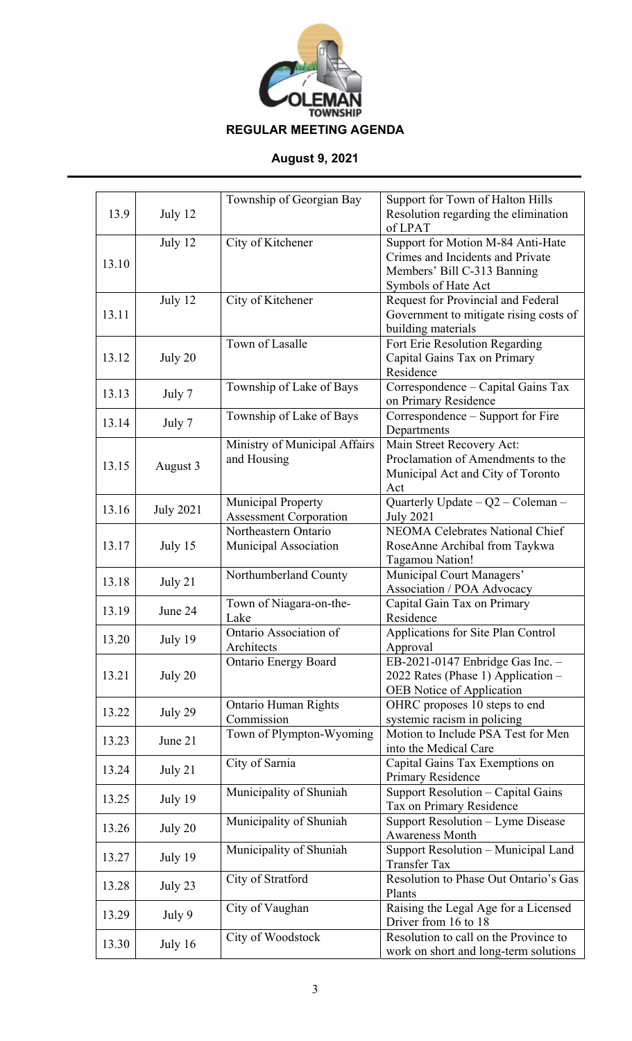

| 13.9  | July 12          | Township of Georgian Bay                                   | Support for Town of Halton Hills<br>Resolution regarding the elimination<br>of LPAT                                         |
|-------|------------------|------------------------------------------------------------|-----------------------------------------------------------------------------------------------------------------------------|
| 13.10 | July 12          | City of Kitchener                                          | Support for Motion M-84 Anti-Hate<br>Crimes and Incidents and Private<br>Members' Bill C-313 Banning<br>Symbols of Hate Act |
| 13.11 | July 12          | City of Kitchener                                          | Request for Provincial and Federal<br>Government to mitigate rising costs of<br>building materials                          |
| 13.12 | July 20          | Town of Lasalle                                            | Fort Erie Resolution Regarding<br>Capital Gains Tax on Primary<br>Residence                                                 |
| 13.13 | July 7           | Township of Lake of Bays                                   | Correspondence - Capital Gains Tax<br>on Primary Residence                                                                  |
| 13.14 | July 7           | Township of Lake of Bays                                   | Correspondence - Support for Fire<br>Departments                                                                            |
| 13.15 | August 3         | Ministry of Municipal Affairs<br>and Housing               | Main Street Recovery Act:<br>Proclamation of Amendments to the<br>Municipal Act and City of Toronto<br>Act                  |
| 13.16 | <b>July 2021</b> | <b>Municipal Property</b><br><b>Assessment Corporation</b> | Quarterly Update $-Q2$ – Coleman –<br><b>July 2021</b>                                                                      |
| 13.17 | July 15          | Northeastern Ontario<br>Municipal Association              | NEOMA Celebrates National Chief<br>RoseAnne Archibal from Taykwa<br>Tagamou Nation!                                         |
| 13.18 | July 21          | Northumberland County                                      | Municipal Court Managers'<br>Association / POA Advocacy                                                                     |
| 13.19 | June 24          | Town of Niagara-on-the-<br>Lake                            | Capital Gain Tax on Primary<br>Residence                                                                                    |
| 13.20 | July 19          | Ontario Association of<br>Architects                       | Applications for Site Plan Control<br>Approval                                                                              |
| 13.21 | July 20          | <b>Ontario Energy Board</b>                                | EB-2021-0147 Enbridge Gas Inc. $-$<br>2022 Rates (Phase 1) Application -<br>OEB Notice of Application                       |
| 13.22 | July 29          | <b>Ontario Human Rights</b><br>Commission                  | OHRC proposes 10 steps to end<br>systemic racism in policing                                                                |
| 13.23 | June 21          | Town of Plympton-Wyoming                                   | Motion to Include PSA Test for Men<br>into the Medical Care                                                                 |
| 13.24 | July 21          | City of Sarnia                                             | Capital Gains Tax Exemptions on<br>Primary Residence                                                                        |
| 13.25 | July 19          | Municipality of Shuniah                                    | Support Resolution - Capital Gains<br>Tax on Primary Residence                                                              |
| 13.26 | July 20          | Municipality of Shuniah                                    | Support Resolution - Lyme Disease<br><b>Awareness Month</b>                                                                 |
| 13.27 | July 19          | Municipality of Shuniah                                    | Support Resolution - Municipal Land<br><b>Transfer Tax</b>                                                                  |
| 13.28 | July 23          | City of Stratford                                          | Resolution to Phase Out Ontario's Gas<br>Plants                                                                             |
| 13.29 | July 9           | City of Vaughan                                            | Raising the Legal Age for a Licensed<br>Driver from 16 to 18                                                                |
| 13.30 | July 16          | City of Woodstock                                          | Resolution to call on the Province to<br>work on short and long-term solutions                                              |